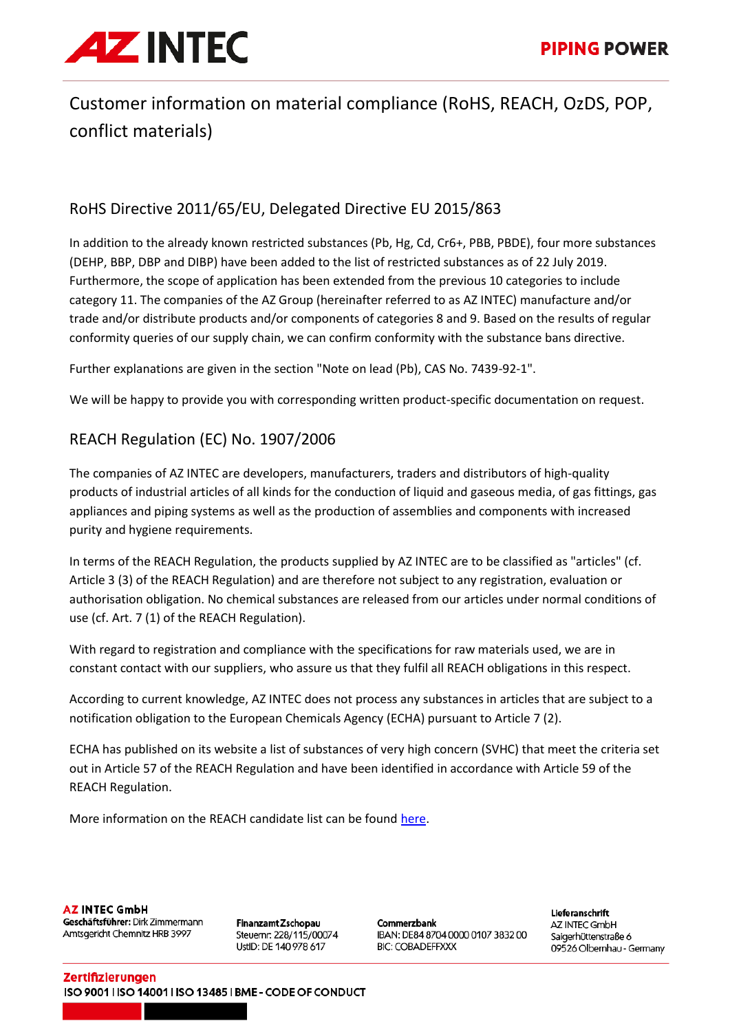

# Customer information on material compliance (RoHS, REACH, OzDS, POP, conflict materials)

## RoHS Directive 2011/65/EU, Delegated Directive EU 2015/863

In addition to the already known restricted substances (Pb, Hg, Cd, Cr6+, PBB, PBDE), four more substances (DEHP, BBP, DBP and DIBP) have been added to the list of restricted substances as of 22 July 2019. Furthermore, the scope of application has been extended from the previous 10 categories to include category 11. The companies of the AZ Group (hereinafter referred to as AZ INTEC) manufacture and/or trade and/or distribute products and/or components of categories 8 and 9. Based on the results of regular conformity queries of our supply chain, we can confirm conformity with the substance bans directive.

Further explanations are given in the section "Note on lead (Pb), CAS No. 7439-92-1".

We will be happy to provide you with corresponding written product-specific documentation on request.

## REACH Regulation (EC) No. 1907/2006

The companies of AZ INTEC are developers, manufacturers, traders and distributors of high-quality products of industrial articles of all kinds for the conduction of liquid and gaseous media, of gas fittings, gas appliances and piping systems as well as the production of assemblies and components with increased purity and hygiene requirements.

In terms of the REACH Regulation, the products supplied by AZ INTEC are to be classified as "articles" (cf. Article 3 (3) of the REACH Regulation) and are therefore not subject to any registration, evaluation or authorisation obligation. No chemical substances are released from our articles under normal conditions of use (cf. Art. 7 (1) of the REACH Regulation).

With regard to registration and compliance with the specifications for raw materials used, we are in constant contact with our suppliers, who assure us that they fulfil all REACH obligations in this respect.

According to current knowledge, AZ INTEC does not process any substances in articles that are subject to a notification obligation to the European Chemicals Agency (ECHA) pursuant to Article 7 (2).

ECHA has published on its website a list of substances of very high concern (SVHC) that meet the criteria set out in Article 57 of the REACH Regulation and have been identified in accordance with Article 59 of the REACH Regulation.

More information on the REACH candidate list can be found [here.](https://echa.europa.eu/de/candidate-list-table)

**AZ INTEC GmbH** Geschäftsführer: Dirk Zimmermann Amtsgericht Chemnitz HRB 3997

Finanzamt Zschopau Steuernr: 228/115/00074 UstID: DE 140 978 617

Commerzbank IBAN: DE84 8704 0000 0107 3832 00 **BIC: COBADEFFXXX** 

Lieferanschrift AZ INTEC GmbH Saigerhüttenstraße 6 09526 Olbernhau - Germany

**Zertifizierungen** ISO 9001 | ISO 14001 | ISO 13485 | BME - CODE OF CONDUCT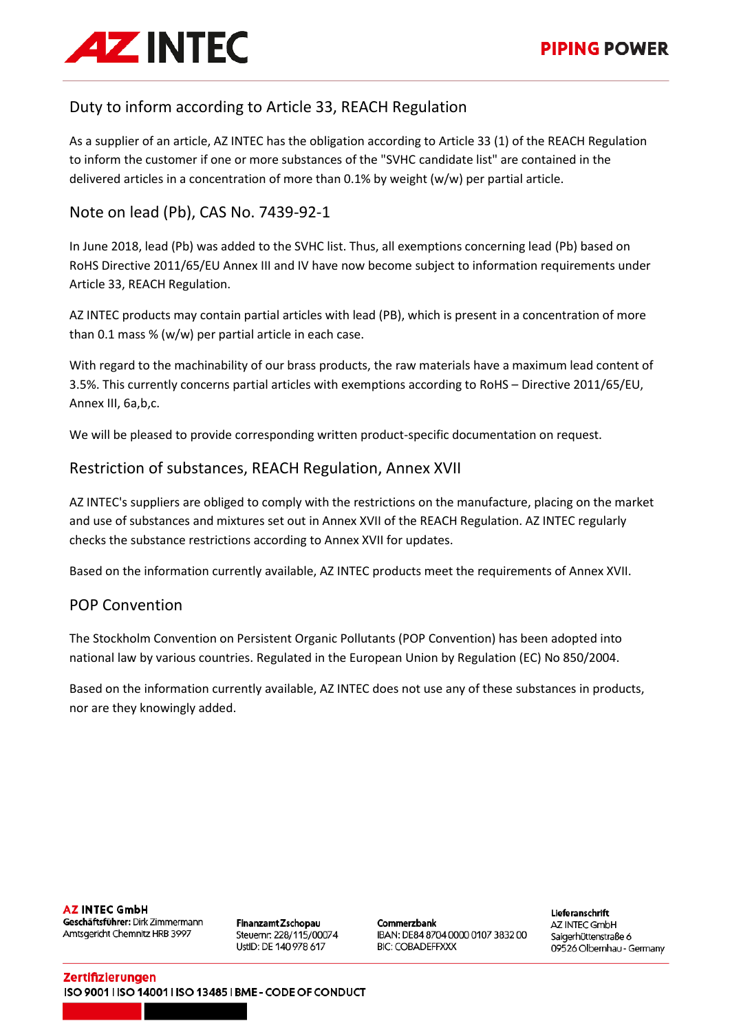

## Duty to inform according to Article 33, REACH Regulation

As a supplier of an article, AZ INTEC has the obligation according to Article 33 (1) of the REACH Regulation to inform the customer if one or more substances of the "SVHC candidate list" are contained in the delivered articles in a concentration of more than 0.1% by weight (w/w) per partial article.

#### Note on lead (Pb), CAS No. 7439-92-1

In June 2018, lead (Pb) was added to the SVHC list. Thus, all exemptions concerning lead (Pb) based on RoHS Directive 2011/65/EU Annex III and IV have now become subject to information requirements under Article 33, REACH Regulation.

AZ INTEC products may contain partial articles with lead (PB), which is present in a concentration of more than 0.1 mass % (w/w) per partial article in each case.

With regard to the machinability of our brass products, the raw materials have a maximum lead content of 3.5%. This currently concerns partial articles with exemptions according to RoHS – Directive 2011/65/EU, Annex III, 6a,b,c.

We will be pleased to provide corresponding written product-specific documentation on request.

#### Restriction of substances, REACH Regulation, Annex XVII

AZ INTEC's suppliers are obliged to comply with the restrictions on the manufacture, placing on the market and use of substances and mixtures set out in Annex XVII of the REACH Regulation. AZ INTEC regularly checks the substance restrictions according to Annex XVII for updates.

Based on the information currently available, AZ INTEC products meet the requirements of Annex XVII.

#### POP Convention

The Stockholm Convention on Persistent Organic Pollutants (POP Convention) has been adopted into national law by various countries. Regulated in the European Union by Regulation (EC) No 850/2004.

Based on the information currently available, AZ INTEC does not use any of these substances in products, nor are they knowingly added.

**AZ INTEC GmbH** Geschäftsführer: Dirk Zimmermann Amtsgericht Chemnitz HRB 3997

**Zertifizierungen** 

Finanzamt Zschopau Steuernr: 228/115/00074 UstID: DE 140 978 617

Commerzbank IBAN: DE84 8704 0000 0107 3832 00 **BIC: COBADEFFXXX** 

Lieferanschrift AZ INTEC GmbH Saigerhüttenstraße 6 09526 Olbernhau - Germany

ISO 9001 | ISO 14001 | ISO 13485 | BME - CODE OF CONDUCT